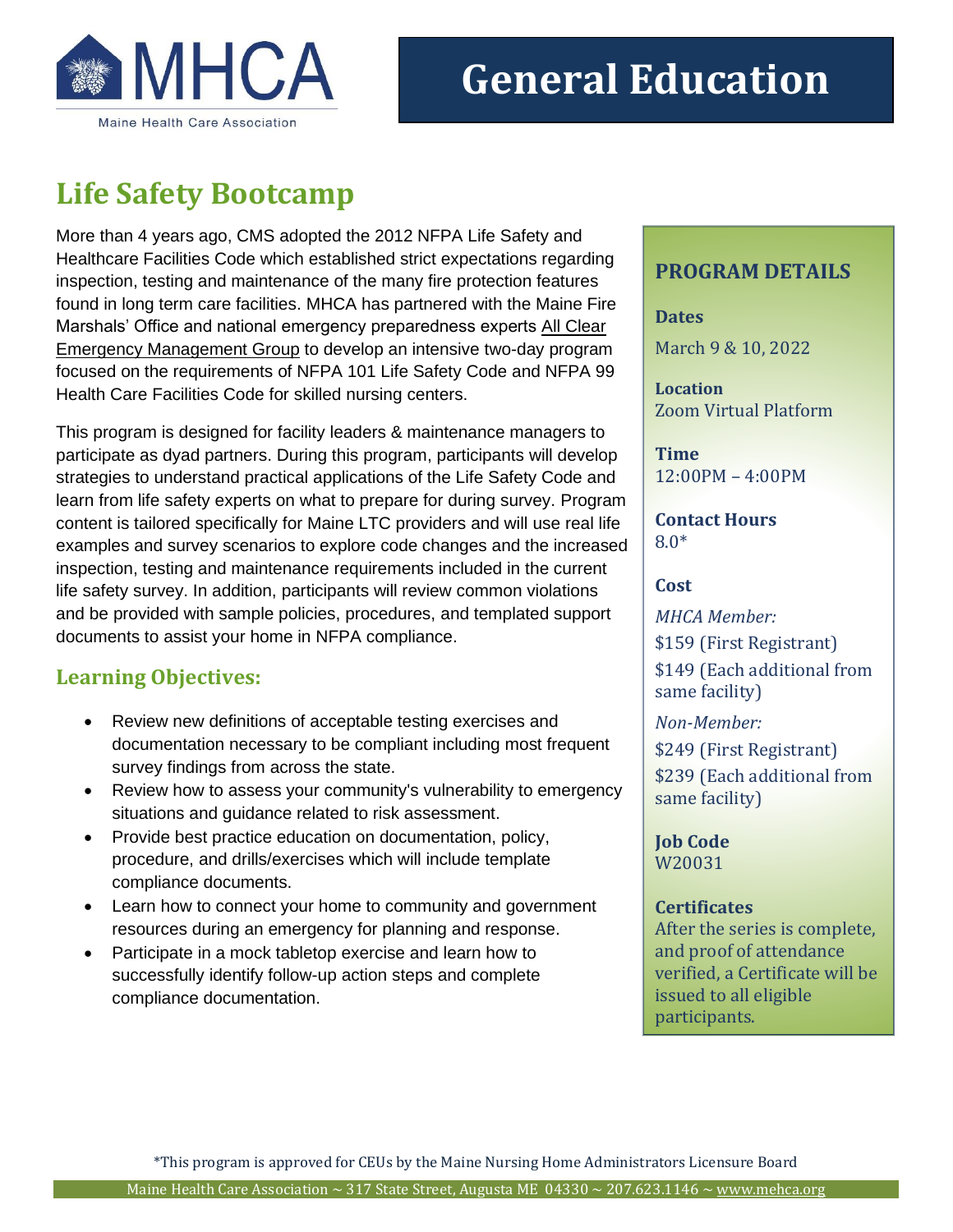

# **Life Safety Bootcamp**

More than 4 years ago, CMS adopted the 2012 NFPA Life Safety and Healthcare Facilities Code which established strict expectations regarding inspection, testing and maintenance of the many fire protection features found in long term care facilities. MHCA has partnered with the Maine Fire Marshals' Office and national emergency preparedness experts [All Clear](https://allclearemg.com/home)  [Emergency Management Group](https://allclearemg.com/home) to develop an intensive two-day program focused on the requirements of NFPA 101 Life Safety Code and NFPA 99 Health Care Facilities Code for skilled nursing centers.

This program is designed for facility leaders & maintenance managers to participate as dyad partners. During this program, participants will develop strategies to understand practical applications of the Life Safety Code and learn from life safety experts on what to prepare for during survey. Program content is tailored specifically for Maine LTC providers and will use real life examples and survey scenarios to explore code changes and the increased inspection, testing and maintenance requirements included in the current life safety survey. In addition, participants will review common violations and be provided with sample policies, procedures, and templated support documents to assist your home in NFPA compliance.

## **Learning Objectives:**

- Review new definitions of acceptable testing exercises and documentation necessary to be compliant including most frequent survey findings from across the state.
- Review how to assess your community's vulnerability to emergency situations and guidance related to risk assessment.
- Provide best practice education on documentation, policy, procedure, and drills/exercises which will include template compliance documents.
- Learn how to connect your home to community and government resources during an emergency for planning and response.
- Participate in a mock tabletop exercise and learn how to successfully identify follow-up action steps and complete compliance documentation.

## **PROGRAM DETAILS**

**Dates** March 9 & 10, 2022

**Location** Zoom Virtual Platform

**Time** 12:00PM – 4:00PM

**Contact Hours** 8.0\*

#### **Cost**

*MHCA Member:* \$159 (First Registrant) \$149 (Each additional from same facility)

*Non-Member:* \$249 (First Registrant) \$239 (Each additional from same facility)

**Job Code** W20031

#### **Certificates**

After the series is complete, and proof of attendance verified, a Certificate will be issued to all eligible participants.

\*This program is approved for CEUs by the Maine Nursing Home Administrators Licensure Board